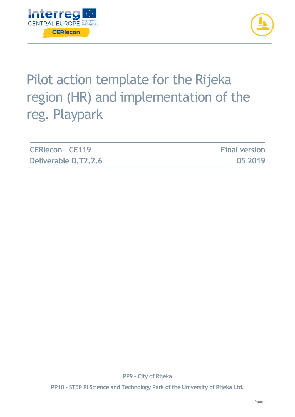



# Pilot action template for the Rijeka region (HR) and implementation of the reg. Playpark

| <b>CERIecon - CE119</b> | <b>Final version</b> |
|-------------------------|----------------------|
| Deliverable D.T2.2.6    | 05 2019              |

**PP9 – City of Rijeka**

**PP10 - STEP RI Science and Technology Park of the University of Rijeka Ltd.**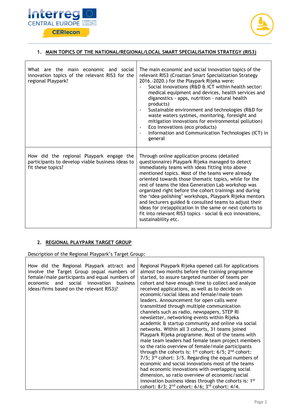



### **1. MAIN TOPICS OF THE NATIONAL/REGIONAL/LOCAL SMART SPECIALISATION STRATEGY (RIS3)**

| What are the main economic and social<br>innovation topics of the relevant RIS3 for the<br>regional Playpark?     | The main economic and social innovation topics of the<br>relevant RIS3 (Croatian Smart Specialization Strategy<br>2016.-2020.) for the Playpark Rijeka were:<br>Social Innovations (R&D & ICT within health sector:<br>medical equipment and devices, health services and<br>diganostics - apps, nutrition - natural health<br>products)<br>Sustainable environment and technologies (R&D for<br>waste waters systmes, monitoring, foresight and<br>mitigation innovations for environmental pollution)<br>Eco Innovations (eco products)<br>Information and Communication Technologies (ICT) in<br>general                                                  |
|-------------------------------------------------------------------------------------------------------------------|--------------------------------------------------------------------------------------------------------------------------------------------------------------------------------------------------------------------------------------------------------------------------------------------------------------------------------------------------------------------------------------------------------------------------------------------------------------------------------------------------------------------------------------------------------------------------------------------------------------------------------------------------------------|
| How did the regional Playpark engage the<br>participants to develop viable business ideas to<br>fit these topics? | Through online application process (detailed<br>questionnaire) Playpark Rijeka managed to detect<br>immediately teams with ideas fitting into above<br>mentioned topics. Most of the teams were already<br>oriented towards those thematic topics, while for the<br>rest of teams the Idea Generation Lab workshop was<br>organized right before the cohort trainings and during<br>the 'idea-polishing' workshops, Playpark Rijeka mentors<br>and lecturers guided & consulted teams to adjust their<br>ideas for (re)application in the same or next cohorts to<br>fit into relevant RIS3 topics - social $\alpha$ eco innovations,<br>sustainability etc. |

### **2. REGIONAL PLAYPARK TARGET GROUP**

Description of the Regional Playpark's Target Group:

| How did the Regional Playpark attract and<br>involve the Target Group (equal numbers of<br>female/male participants and equal numbers of<br>social<br>and<br>innovation<br>business<br>economic<br>ideas/firms based on the relevant RIS3)? | Regional Playpark Rijeka opened call for applications<br>almost two months before the training programme<br>started, to assure targeted number of teams per<br>cohort and have enough time to collect and analyze<br>received applications, as well as to decide on<br>economic/social ideas and female/male team<br>leaders. Announcement for open calls were<br>transmitted through multiple communication<br>channels such as radio, newspapers, STEP RI<br>newsletter, networking events within Rijeka<br>academic & startup community and online via social<br>networks. Within all 3 cohorts, 31 teams joined<br>Playpark Rijeka programme. Most of the teams with<br>male team leaders had female team project members<br>so the ratio overview of female/male participants<br>through the cohorts is: $1^{st}$ cohort: $6/5$ ; $2^{nd}$ cohort:<br>7/5; 3rd cohort: 3/5. Regarding the equal numbers of<br>economic and social innovations most of the teams<br>had economic innovations with overlapping social<br>dimension, so ratio overview of economic/social |
|---------------------------------------------------------------------------------------------------------------------------------------------------------------------------------------------------------------------------------------------|-----------------------------------------------------------------------------------------------------------------------------------------------------------------------------------------------------------------------------------------------------------------------------------------------------------------------------------------------------------------------------------------------------------------------------------------------------------------------------------------------------------------------------------------------------------------------------------------------------------------------------------------------------------------------------------------------------------------------------------------------------------------------------------------------------------------------------------------------------------------------------------------------------------------------------------------------------------------------------------------------------------------------------------------------------------------------------|
|                                                                                                                                                                                                                                             | innovation business ideas through the cohorts is: 1 <sup>st</sup><br>cohort: 8/3; 2 <sup>nd</sup> cohort: 6/6; 3 <sup>rd</sup> cohort: 4/4.                                                                                                                                                                                                                                                                                                                                                                                                                                                                                                                                                                                                                                                                                                                                                                                                                                                                                                                                 |

 $\overline{\phantom{a}}$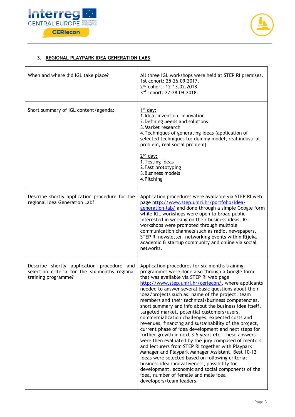



### **3. REGIONAL PLAYPARK IDEA GENERATION LABS**

| When and where did IGL take place?                                                                                  | All three IGL workshops were held at STEP RI premises.<br>1st cohort: 25-26.09.2017.<br>2 <sup>nd</sup> cohort: 12-13.02.2018.<br>3rd cohort: 27-28.09.2018.                                                                                                                                                                                                                                                                                                                                                                                                                                                                                                                                                                                                                                                                                                                                                                                                                                                                                                                                                  |
|---------------------------------------------------------------------------------------------------------------------|---------------------------------------------------------------------------------------------------------------------------------------------------------------------------------------------------------------------------------------------------------------------------------------------------------------------------------------------------------------------------------------------------------------------------------------------------------------------------------------------------------------------------------------------------------------------------------------------------------------------------------------------------------------------------------------------------------------------------------------------------------------------------------------------------------------------------------------------------------------------------------------------------------------------------------------------------------------------------------------------------------------------------------------------------------------------------------------------------------------|
| Short summary of IGL content/agenda:                                                                                | $1st$ day:<br>1.Idea, invention, innovation<br>2. Defining needs and solutions<br>3. Market research<br>4. Techniques of generating ideas (application of<br>selected techniques to: dummy model, real industrial<br>problem, real social problem)<br>$2nd$ day:<br>1. Testing Ideas<br>2. Fast prototyping<br>3. Business models<br>4. Pitching                                                                                                                                                                                                                                                                                                                                                                                                                                                                                                                                                                                                                                                                                                                                                              |
| Describe shortly application procedure for the<br>regional Idea Generation Lab?                                     | Application procedures were available via STEP RI web<br>page http://www.step.uniri.hr/portfolio/idea-<br>generation-lab/ and done through a simple Google form<br>while IGL workshops were open to broad public<br>interested in working on their business ideas. IGL<br>workshops were promoted through multiple<br>communication channels such as radio, newspapers,<br>STEP RI newsletter, networking events within Rijeka<br>academic & startup community and online via social<br>networks.                                                                                                                                                                                                                                                                                                                                                                                                                                                                                                                                                                                                             |
| Describe shortly application procedure and<br>selection criteria for the six-months regional<br>training programme? | Application procedures for six-months training<br>programmes were done also through a Google form<br>that was available via STEP RI web page<br>http://www.step.uniri.hr/ceriecon/, where applicants<br>needed to answer several basic questions about their<br>idea/projects such as: name of the project, team<br>members and their technical/business competencies,<br>short summary and info about the business idea itself,<br>targeted market, potential customers/users,<br>commercialization challenges, expected costs and<br>revenues, financing and sustainability of the project,<br>current phase of idea development and next steps for<br>further growth in next 3-5 years etc. These answers<br>were then evaluated by the jury composed of mentors<br>and lecturers from STEP RI together with Playpark<br>Manager and Playpark Manager Assistant. Best 10-12<br>ideas were selected based on following criteria:<br>business idea innovativeness, possibility for<br>development, economic and social components of the<br>idea, number of female and male idea<br>developers/team leaders. |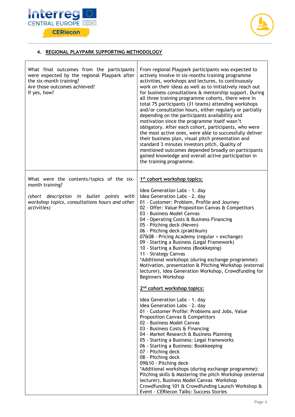



## **4. REGIONAL PLAYPARK SUPPORTING METHODOLOGY**

| What final outcomes from the participants<br>were expected by the regional Playpark after<br>the six-month training?<br>Are those outcomes achieved?<br>If yes, how? | From regional Playpark participants was expected to<br>actively involve in six-months training programme<br>activities, workshops and lectures, to continuously<br>work on their ideas as well as to initiatively reach out<br>for business consultations & mentorship support. During<br>all three training programme cohorts, there were in<br>total 75 participants (31 teams) attending workshops<br>and/or consultation hours, either regularly or partially<br>depending on the participants availability and<br>motivation since the programme itself wasn't<br>obligatory. After each cohort, participants, who were<br>the most active ones, were able to successfully deliver<br>their business plan, visual pitch presentation and<br>standard 3 minutes investors pitch. Quality of<br>mentioned outcomes depended broadly on participants<br>gained knowledge and overall active participation in<br>the training programme. |
|----------------------------------------------------------------------------------------------------------------------------------------------------------------------|-------------------------------------------------------------------------------------------------------------------------------------------------------------------------------------------------------------------------------------------------------------------------------------------------------------------------------------------------------------------------------------------------------------------------------------------------------------------------------------------------------------------------------------------------------------------------------------------------------------------------------------------------------------------------------------------------------------------------------------------------------------------------------------------------------------------------------------------------------------------------------------------------------------------------------------------|
| What were the contents/topics of the six-<br>month training?<br>(short description in bullet points with                                                             | 1 <sup>st</sup> cohort workshop topics:<br>Idea Generation Labs - 1. day<br>Idea Generation Labs - 2. day                                                                                                                                                                                                                                                                                                                                                                                                                                                                                                                                                                                                                                                                                                                                                                                                                                 |
| workshop topics, consultations hours and other<br>activities)                                                                                                        | 01 - Customer: Problem, Profile and Journey<br>02 - Offer: Value Proposition Canvas & Competitors<br>03 - Business Model Canvas<br>04 - Operating Costs & Business Financing<br>05 - Pitching deck (Neven)<br>06 - Pitching deck (praktikum)<br>07&08 - Pricing Academy (regular + exchange)<br>09 - Starting a Business (Legal Framework)<br>10 - Starting a Business (Bookkeping)<br>11 - Strategy Canvas<br>*Additional workshops (during exchange programme):<br>Motivation, presentation & Pitching Workshop (external<br>lecturer), Idea Generation Workshop, Crowdfunding for<br><b>Beginners Workshop</b>                                                                                                                                                                                                                                                                                                                         |
|                                                                                                                                                                      | 2 <sup>nd</sup> cohort workshop topics:                                                                                                                                                                                                                                                                                                                                                                                                                                                                                                                                                                                                                                                                                                                                                                                                                                                                                                   |
|                                                                                                                                                                      | Idea Generation Labs - 1. day<br>Idea Generation Labs - 2. day<br>01 - Customer Profile: Problems and Jobs, Value<br>Proposition Canvas & Competitors<br>02 - Business Model Canvas<br>03 - Business Costs & Financing<br>04 - Market Research & Business Planning<br>05 - Starting a Business: Legal frameworks<br>06 - Starting a Business: Bookkeeping<br>07 - Pitching deck<br>08 - Pitching deck<br>09&10 - Pitching deck<br>*Additional workshops (during exchange programme):<br>Pitching skills & Mastering the pitch Workshop (external<br>lecturer), Business Model Canvas Workshop<br>Crowdfunding 101 & Crowdfunding Launch Workshop &<br>Event - CERIecon Talks: Success Stories                                                                                                                                                                                                                                             |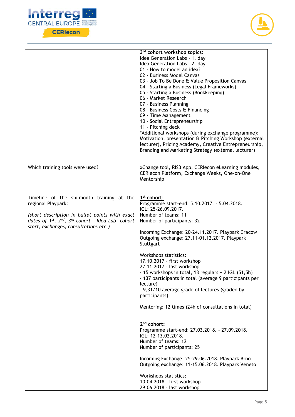



|                                                                                                                                                                                                                                                      | 3 <sup>rd</sup> cohort workshop topics:<br>Idea Generation Labs - 1. day<br>Idea Generation Labs - 2. day<br>01 - How to model an idea?<br>02 - Business Model Canvas<br>03 - Job To Be Done & Value Proposition Canvas<br>04 - Starting a Business (Legal Frameworks)<br>05 - Starting a Business (Bookkeeping)<br>06 - Market Research<br>07 - Business Planning<br>08 - Business Costs & Financing<br>09 - Time Management<br>10 - Social Entrepreneurship<br>11 - Pitching deck<br>*Additional workshops (during exchange programme):<br>Motivation, presentation & Pitching Workshop (external<br>lecturer), Pricing Academy, Creative Entrepreneurship,<br>Branding and Marketing Strategy (external lecturer)                                                                                                                                                                                                                                               |
|------------------------------------------------------------------------------------------------------------------------------------------------------------------------------------------------------------------------------------------------------|--------------------------------------------------------------------------------------------------------------------------------------------------------------------------------------------------------------------------------------------------------------------------------------------------------------------------------------------------------------------------------------------------------------------------------------------------------------------------------------------------------------------------------------------------------------------------------------------------------------------------------------------------------------------------------------------------------------------------------------------------------------------------------------------------------------------------------------------------------------------------------------------------------------------------------------------------------------------|
| Which training tools were used?                                                                                                                                                                                                                      | xChange tool, RIS3 App, CERIecon eLearning modules,<br>CERIecon Platform, Exchange Weeks, One-on-One<br>Mentorship                                                                                                                                                                                                                                                                                                                                                                                                                                                                                                                                                                                                                                                                                                                                                                                                                                                 |
| Timeline of the six-month training at the<br>regional Playpark:<br>(short description in bullet points with exact<br>dates of 1 <sup>st</sup> , 2 <sup>nd</sup> , 3 <sup>rd</sup> cohort - Idea Lab, cohort<br>start, exchanges, consultations etc.) | 1 <sup>st</sup> cohort:<br>Programme start-end: 5.10.2017. - 5.04.2018.<br>IGL: 25-26.09.2017.<br>Number of teams: 11<br>Number of participants: 32<br>Incoming Exchange: 20-24.11.2017. Playpark Cracow<br>Outgoing exchange: 27.11-01.12.2017. Playpark<br>Stuttgart<br>Workshops statistics:<br>17.10.2017 - first workshop<br>22.11.2017 - last workshop<br>- 15 workshops in total, 13 regulars + 2 IGL (51,5h)<br>- 137 participants in total (average 9 participants per<br>lecture)<br>- 9,31/10 average grade of lectures (graded by<br>participants)<br>Mentoring: 12 times (24h of consultations in total)<br>$2nd$ cohort:<br>Programme start-end: 27.03.2018. - 27.09.2018.<br>IGL: 12-13.02.2018.<br>Number of teams: 12<br>Number of participants: 25<br>Incoming Exchange: 25-29.06.2018. Playpark Brno<br>Outgoing exchange: 11-15.06.2018. Playpark Veneto<br>Workshops statistics:<br>10.04.2018 - first workshop<br>29.06.2018 - last workshop |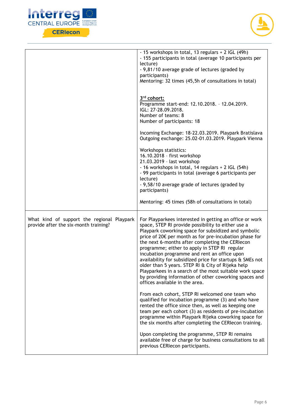



|                                                                                     | - 15 workshops in total, 13 regulars + 2 IGL (49h)                                                                                                                                                                                                                                                                                                                                                                                                                                                                                                                                                                                                           |
|-------------------------------------------------------------------------------------|--------------------------------------------------------------------------------------------------------------------------------------------------------------------------------------------------------------------------------------------------------------------------------------------------------------------------------------------------------------------------------------------------------------------------------------------------------------------------------------------------------------------------------------------------------------------------------------------------------------------------------------------------------------|
|                                                                                     | - 155 participants in total (average 10 participants per                                                                                                                                                                                                                                                                                                                                                                                                                                                                                                                                                                                                     |
|                                                                                     | lecture)<br>- 9,81/10 average grade of lectures (graded by                                                                                                                                                                                                                                                                                                                                                                                                                                                                                                                                                                                                   |
|                                                                                     | participants)                                                                                                                                                                                                                                                                                                                                                                                                                                                                                                                                                                                                                                                |
|                                                                                     | Mentoring: 32 times (45,5h of consultations in total)                                                                                                                                                                                                                                                                                                                                                                                                                                                                                                                                                                                                        |
|                                                                                     |                                                                                                                                                                                                                                                                                                                                                                                                                                                                                                                                                                                                                                                              |
|                                                                                     | 3rd cohort:<br>Programme start-end: 12.10.2018. - 12.04.2019.<br>IGL: 27-28.09.2018.<br>Number of teams: 8<br>Number of participants: 18                                                                                                                                                                                                                                                                                                                                                                                                                                                                                                                     |
|                                                                                     |                                                                                                                                                                                                                                                                                                                                                                                                                                                                                                                                                                                                                                                              |
|                                                                                     | Incoming Exchange: 18-22.03.2019. Playpark Bratislava<br>Outgoing exchange: 25.02-01.03.2019. Playpark Vienna                                                                                                                                                                                                                                                                                                                                                                                                                                                                                                                                                |
|                                                                                     | Workshops statistics:<br>16.10.2018 - first workshop<br>21.03.2019 - last workshop<br>- 16 workshops in total, 14 regulars + 2 IGL (54h)<br>- 99 participants in total (average 6 participants per<br>lecture)<br>- 9,58/10 average grade of lectures (graded by<br>participants)                                                                                                                                                                                                                                                                                                                                                                            |
|                                                                                     | Mentoring: 45 times (58h of consultations in total)                                                                                                                                                                                                                                                                                                                                                                                                                                                                                                                                                                                                          |
| What kind of support the regional Playpark<br>provide after the six-month training? | For Playparkees interested in getting an office or work<br>space, STEP RI provide possibility to either use a<br>Playpark coworking space for subsidized and symbolic<br>price of 20€ per month as for pre-incubation phase for<br>the next 6-months after completing the CERIecon<br>programme; either to apply in STEP RI regular<br>incubation programme and rent an office upon<br>availability for subsidized price for startups & SMEs not<br>older than 5 years. STEP RI & City of Rijeka help<br>Playparkees in a search of the most suitable work space<br>by providing information of other coworking spaces and<br>offices available in the area. |
|                                                                                     | From each cohort, STEP RI welcomed one team who<br>qualified for incubation programme (3) and who have<br>rented the office since then, as well as keeping one<br>team per each cohort (3) as residents of pre-incubation<br>programme within Playpark Rijeka coworking space for<br>the six months after completing the CERIecon training.                                                                                                                                                                                                                                                                                                                  |
|                                                                                     | Upon completing the programme, STEP RI remains<br>available free of charge for business consultations to all<br>previous CERIecon participants.                                                                                                                                                                                                                                                                                                                                                                                                                                                                                                              |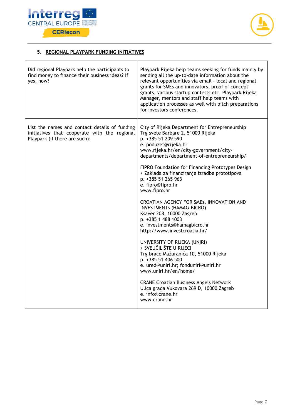



## **5. REGIONAL PLAYPARK FUNDING INITIATIVES**

| Did regional Playpark help the participants to<br>find money to finance their business ideas? If<br>yes, how?                  | Playpark Rijeka help teams seeking for funds mainly by<br>sending all the up-to-date information about the<br>relevant opportunities via email - local and regional<br>grants for SMEs and innovators, proof of concept<br>grants, various startup contests etc. Playpark Rijeka<br>Manager, mentors and staff help teams with<br>application processes as well with pitch preparations<br>for investors conferences.                                                                                                                                                                                                                                                                                                                                                                                                                                                                                                   |
|--------------------------------------------------------------------------------------------------------------------------------|-------------------------------------------------------------------------------------------------------------------------------------------------------------------------------------------------------------------------------------------------------------------------------------------------------------------------------------------------------------------------------------------------------------------------------------------------------------------------------------------------------------------------------------------------------------------------------------------------------------------------------------------------------------------------------------------------------------------------------------------------------------------------------------------------------------------------------------------------------------------------------------------------------------------------|
| List the names and contact details of funding<br>initiatives that cooperate with the regional<br>Playpark (if there are such): | City of Rijeka Department for Entrepreneurship<br>Trg svete Barbare 2, 51000 Rijeka<br>p. +385 51 209 590<br>e. poduzet@rijeka.hr<br>www.rijeka.hr/en/city-government/city-<br>departments/department-of-entrepreneurship/<br>FIPRO Foundation for Financing Prototypes Design<br>/ Zaklada za financiranje izradbe prototipova<br>p. +385 51 265 963<br>e. fipro@fipro.hr<br>www.fipro.hr<br>CROATIAN AGENCY FOR SMEs, INNOVATION AND<br><b>INVESTMENTs (HAMAG-BICRO)</b><br>Ksaver 208, 10000 Zagreb<br>p. +385 1 488 1003<br>e. investments@hamagbicro.hr<br>http://www.investcroatia.hr/<br>UNIVERSITY OF RIJEKA (UNIRI)<br>/ SVEUČILIŠTE U RIJECI<br>Trg braće Mažuranića 10, 51000 Rijeka<br>p. +385 51 406 500<br>e. ured@uniri.hr; fonduniri@uniri.hr<br>www.uniri.hr/en/home/<br><b>CRANE Croatian Business Angels Network</b><br>Ulica grada Vukovara 269 D, 10000 Zagreb<br>e. info@crane.hr<br>www.crane.hr |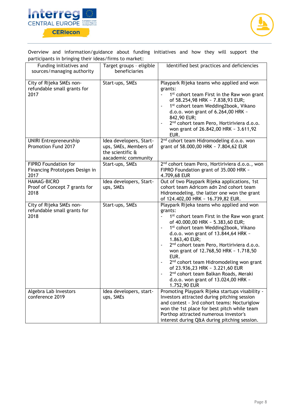



Overview and information/guidance about funding initiatives and how they will support the participants in bringing their ideas/firms to market:

| Funding initiatives and<br>sources/managing authority                 | Target groups - eligible<br>beneficiaries                                                   | Identified best practices and deficiencies                                                                                                                                                                                                                                                                                                                                                                                                                                                                                                                        |
|-----------------------------------------------------------------------|---------------------------------------------------------------------------------------------|-------------------------------------------------------------------------------------------------------------------------------------------------------------------------------------------------------------------------------------------------------------------------------------------------------------------------------------------------------------------------------------------------------------------------------------------------------------------------------------------------------------------------------------------------------------------|
| City of Rijeka SMEs non-<br>refundable small grants for<br>2017       | Start-ups, SMEs                                                                             | Playpark Rijeka teams who applied and won<br>grants:<br>1 <sup>st</sup> cohort team First in the Raw won grant<br>of 58.254,98 HRK ~ 7.838,93 EUR;<br>1st cohort team Wedding2book, Vikano<br>d.o.o. won grant of 6.264,00 HRK ~<br>842,90 EUR;<br>2 <sup>nd</sup> cohort team Pero, Hortiriviera d.o.o.<br>won grant of 26.842,00 HRK ~ 3.611,92<br>EUR.                                                                                                                                                                                                         |
| <b>UNIRI Entrepreneurship</b><br>Promotion Fund 2017                  | Idea developers, Start-<br>ups, SMEs, Members of<br>the scientific &<br>aacademic community | 2 <sup>nd</sup> cohort team Hidromodeling d.o.o. won<br>grant of 58.000,00 HRK ~ 7.804,62 EUR                                                                                                                                                                                                                                                                                                                                                                                                                                                                     |
| <b>FIPRO Foundation for</b><br>Financing Prototypes Design in<br>2017 | Start-ups, SMEs                                                                             | 2 <sup>nd</sup> cohort team Pero, Hortiriviera d.o.o., won<br>FIPRO Foundation grant of 35.000 HRK ~<br>4.709,68 EUR                                                                                                                                                                                                                                                                                                                                                                                                                                              |
| <b>HAMAG-BICRO</b><br>Proof of Concept 7 grants for<br>2018           | Idea developers, Start-<br>ups, SMEs                                                        | Out of two Playpark Rijeka applications, 1st<br>cohort team Adricom adn 2nd cohort team<br>Hidromodeling, the latter one won the grant<br>of 124.402,00 HRK ~ 16.739,82 EUR.                                                                                                                                                                                                                                                                                                                                                                                      |
| City of Rijeka SMEs non-<br>refundable small grants for<br>2018       | Start-ups, SMEs                                                                             | Playpark Rijeka teams who applied and won<br>grants:<br>1 <sup>st</sup> cohort team First in the Raw won grant<br>of 40.000,00 HRK ~ 5.383,60 EUR;<br>1st cohort team Wedding2book, Vikano<br>d.o.o. won grant of 13.844,64 HRK ~<br>1.863,40 EUR;<br>2 <sup>nd</sup> cohort team Pero, Hortiriviera d.o.o.<br>won grant of 12.768,50 HRK ~ 1.718,50<br>EUR.<br>2 <sup>nd</sup> cohort team Hidromodeling won grant<br>of 23.936,23 HRK ~ 3.221,60 EUR<br>2 <sup>nd</sup> cohort team Balkan Roads, Meraki<br>d.o.o. won grant of 13.024,00 HRK ~<br>1.752,90 EUR |
| Algebra Lab Investors<br>conference 2019                              | Idea developers, start-<br>ups, SMEs                                                        | Promoting Playpark Rijeka startups visability -<br>Investors attracted during pitching session<br>and contest - 3rd cohort teams: Nocturiglow<br>won the 1st place for best pitch while team<br>Porthop attracted numerous investor's<br>interest during Q&A during pitching session.                                                                                                                                                                                                                                                                             |